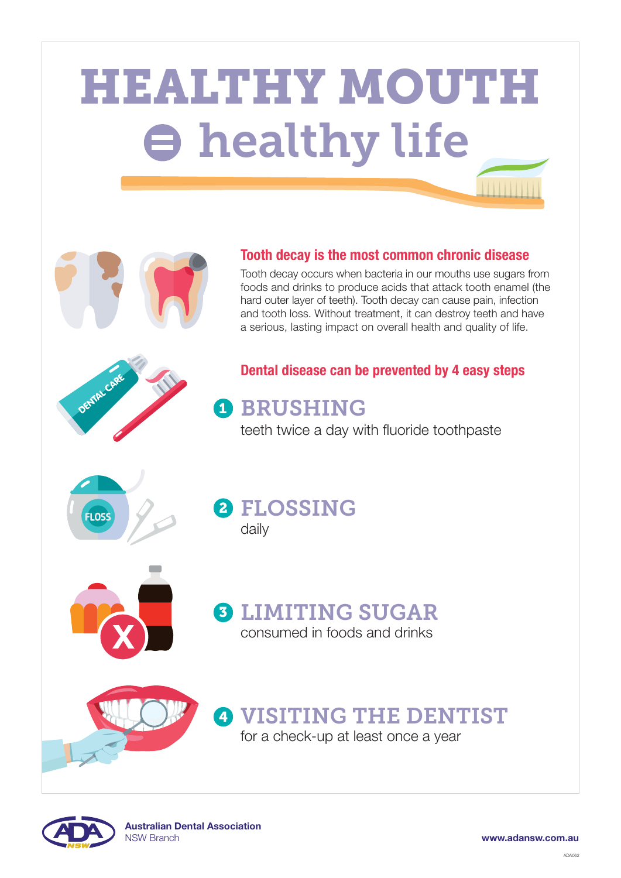# HEALTHY MOUTH healthy life



#### Dental disease can be prevented by 4 easy steps



# **D** BRUSHING

#### Tooth decay is the most common chronic disease

## 2 FLOSSING daily



Tooth decay occurs when bacteria in our mouths use sugars from foods and drinks to produce acids that attack tooth enamel (the hard outer layer of teeth). Tooth decay can cause pain, infection and tooth loss. Without treatment, it can destroy teeth and have a serious, lasting impact on overall health and quality of life.

teeth twice a day with fluoride toothpaste



LIMITING SUGAR consumed in foods and drinks 3



## VISITING THE DENTIST 4

for a check-up at least once a year

www.adansw.com.au